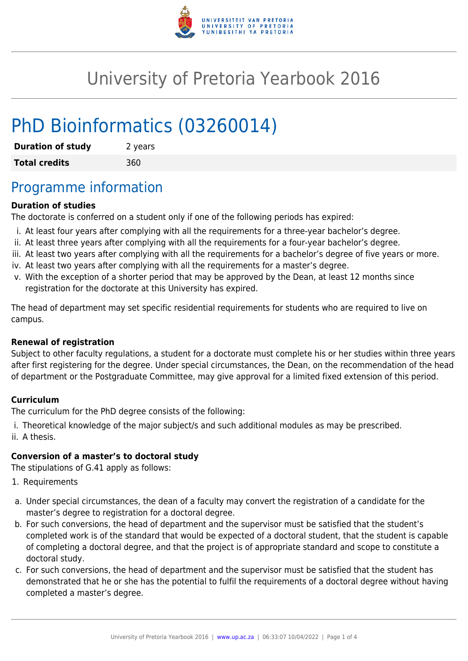

# University of Pretoria Yearbook 2016

# PhD Bioinformatics (03260014)

| <b>Duration of study</b> | 2 years |
|--------------------------|---------|
| <b>Total credits</b>     | 360     |

## Programme information

#### **Duration of studies**

The doctorate is conferred on a student only if one of the following periods has expired:

- i. At least four years after complying with all the requirements for a three-year bachelor's degree.
- ii. At least three years after complying with all the requirements for a four-year bachelor's degree.
- iii. At least two years after complying with all the requirements for a bachelor's degree of five years or more.
- iv. At least two years after complying with all the requirements for a master's degree.
- v. With the exception of a shorter period that may be approved by the Dean, at least 12 months since registration for the doctorate at this University has expired.

The head of department may set specific residential requirements for students who are required to live on campus.

#### **Renewal of registration**

Subject to other faculty regulations, a student for a doctorate must complete his or her studies within three years after first registering for the degree. Under special circumstances, the Dean, on the recommendation of the head of department or the Postgraduate Committee, may give approval for a limited fixed extension of this period.

#### **Curriculum**

The curriculum for the PhD degree consists of the following:

i. Theoretical knowledge of the major subject/s and such additional modules as may be prescribed. ii. A thesis.

#### **Conversion of a master's to doctoral study**

The stipulations of G.41 apply as follows:

- 1. Requirements
- a. Under special circumstances, the dean of a faculty may convert the registration of a candidate for the master's degree to registration for a doctoral degree.
- b. For such conversions, the head of department and the supervisor must be satisfied that the student's completed work is of the standard that would be expected of a doctoral student, that the student is capable of completing a doctoral degree, and that the project is of appropriate standard and scope to constitute a doctoral study.
- c. For such conversions, the head of department and the supervisor must be satisfied that the student has demonstrated that he or she has the potential to fulfil the requirements of a doctoral degree without having completed a master's degree.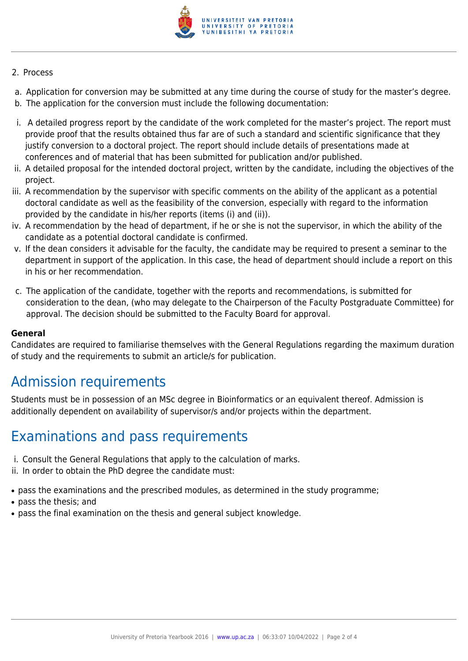

#### 2. Process

- a. Application for conversion may be submitted at any time during the course of study for the master's degree.
- b. The application for the conversion must include the following documentation:
- i. A detailed progress report by the candidate of the work completed for the master's project. The report must provide proof that the results obtained thus far are of such a standard and scientific significance that they justify conversion to a doctoral project. The report should include details of presentations made at conferences and of material that has been submitted for publication and/or published.
- ii. A detailed proposal for the intended doctoral project, written by the candidate, including the objectives of the project.
- iii. A recommendation by the supervisor with specific comments on the ability of the applicant as a potential doctoral candidate as well as the feasibility of the conversion, especially with regard to the information provided by the candidate in his/her reports (items (i) and (ii)).
- iv. A recommendation by the head of department, if he or she is not the supervisor, in which the ability of the candidate as a potential doctoral candidate is confirmed.
- v. If the dean considers it advisable for the faculty, the candidate may be required to present a seminar to the department in support of the application. In this case, the head of department should include a report on this in his or her recommendation.
- c. The application of the candidate, together with the reports and recommendations, is submitted for consideration to the dean, (who may delegate to the Chairperson of the Faculty Postgraduate Committee) for approval. The decision should be submitted to the Faculty Board for approval.

#### **General**

Candidates are required to familiarise themselves with the General Regulations regarding the maximum duration of study and the requirements to submit an article/s for publication.

## Admission requirements

Students must be in possession of an MSc degree in Bioinformatics or an equivalent thereof. Admission is additionally dependent on availability of supervisor/s and/or projects within the department.

## Examinations and pass requirements

- i. Consult the General Regulations that apply to the calculation of marks.
- ii. In order to obtain the PhD degree the candidate must:
- pass the examinations and the prescribed modules, as determined in the study programme;
- pass the thesis; and
- pass the final examination on the thesis and general subject knowledge.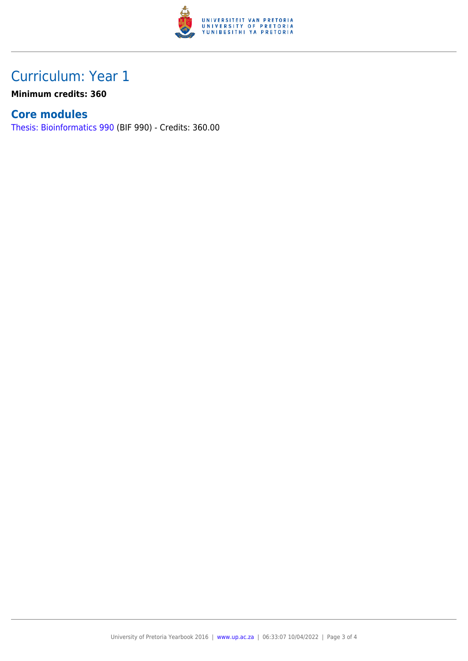

## Curriculum: Year 1

**Minimum credits: 360**

### **Core modules**

[Thesis: Bioinformatics 990](https://www.up.ac.za/faculty-of-education/yearbooks/2016/modules/view/BIF 990) (BIF 990) - Credits: 360.00